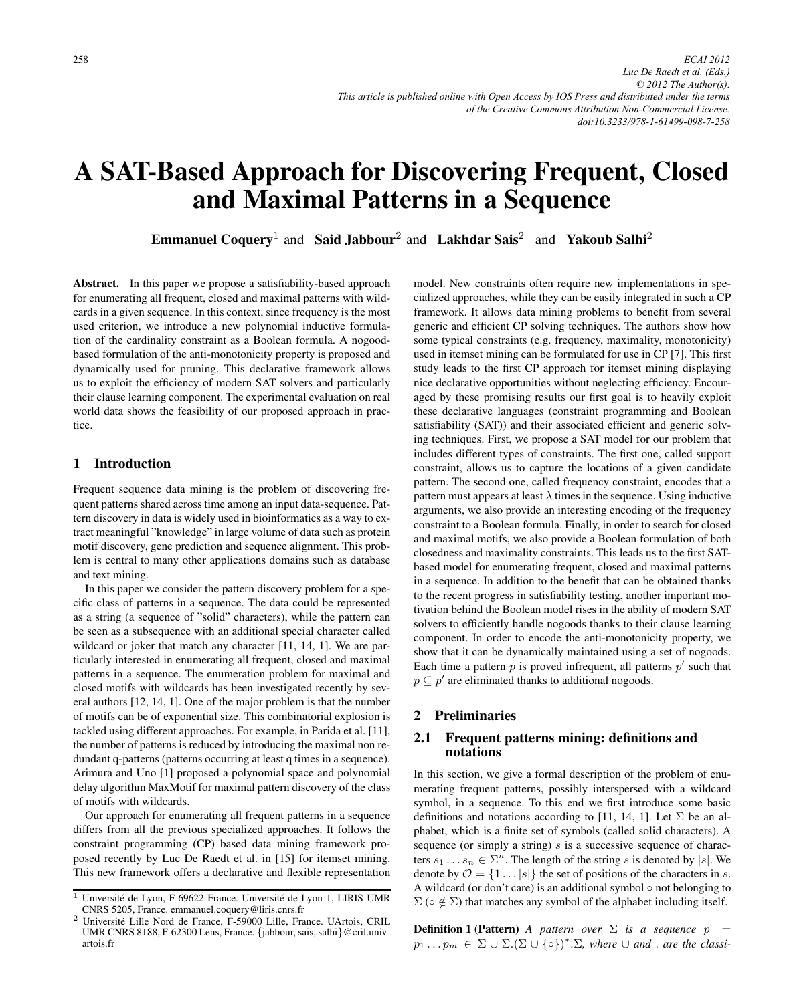# A SAT-Based Approach for Discovering Frequent, Closed and Maximal Patterns in a Sequence

Emmanuel Coquery<sup>1</sup> and Said Jabbour<sup>2</sup> and Lakhdar Sais<sup>2</sup> and Yakoub Salhi<sup>2</sup>

Abstract. In this paper we propose a satisfiability-based approach for enumerating all frequent, closed and maximal patterns with wildcards in a given sequence. In this context, since frequency is the most used criterion, we introduce a new polynomial inductive formulation of the cardinality constraint as a Boolean formula. A nogoodbased formulation of the anti-monotonicity property is proposed and dynamically used for pruning. This declarative framework allows us to exploit the efficiency of modern SAT solvers and particularly their clause learning component. The experimental evaluation on real world data shows the feasibility of our proposed approach in practice.

## 1 Introduction

Frequent sequence data mining is the problem of discovering frequent patterns shared across time among an input data-sequence. Pattern discovery in data is widely used in bioinformatics as a way to extract meaningful "knowledge" in large volume of data such as protein motif discovery, gene prediction and sequence alignment. This problem is central to many other applications domains such as database and text mining.

In this paper we consider the pattern discovery problem for a specific class of patterns in a sequence. The data could be represented as a string (a sequence of "solid" characters), while the pattern can be seen as a subsequence with an additional special character called wildcard or joker that match any character [11, 14, 1]. We are particularly interested in enumerating all frequent, closed and maximal patterns in a sequence. The enumeration problem for maximal and closed motifs with wildcards has been investigated recently by several authors [12, 14, 1]. One of the major problem is that the number of motifs can be of exponential size. This combinatorial explosion is tackled using different approaches. For example, in Parida et al. [11], the number of patterns is reduced by introducing the maximal non redundant q-patterns (patterns occurring at least q times in a sequence). Arimura and Uno [1] proposed a polynomial space and polynomial delay algorithm MaxMotif for maximal pattern discovery of the class of motifs with wildcards.

Our approach for enumerating all frequent patterns in a sequence differs from all the previous specialized approaches. It follows the constraint programming (CP) based data mining framework proposed recently by Luc De Raedt et al. in [15] for itemset mining. This new framework offers a declarative and flexible representation model. New constraints often require new implementations in specialized approaches, while they can be easily integrated in such a CP framework. It allows data mining problems to benefit from several generic and efficient CP solving techniques. The authors show how some typical constraints (e.g. frequency, maximality, monotonicity) used in itemset mining can be formulated for use in CP [7]. This first study leads to the first CP approach for itemset mining displaying nice declarative opportunities without neglecting efficiency. Encouraged by these promising results our first goal is to heavily exploit these declarative languages (constraint programming and Boolean satisfiability (SAT)) and their associated efficient and generic solving techniques. First, we propose a SAT model for our problem that includes different types of constraints. The first one, called support constraint, allows us to capture the locations of a given candidate pattern. The second one, called frequency constraint, encodes that a pattern must appears at least  $\lambda$  times in the sequence. Using inductive arguments, we also provide an interesting encoding of the frequency constraint to a Boolean formula. Finally, in order to search for closed and maximal motifs, we also provide a Boolean formulation of both closedness and maximality constraints. This leads us to the first SATbased model for enumerating frequent, closed and maximal patterns in a sequence. In addition to the benefit that can be obtained thanks to the recent progress in satisfiability testing, another important motivation behind the Boolean model rises in the ability of modern SAT solvers to efficiently handle nogoods thanks to their clause learning component. In order to encode the anti-monotonicity property, we show that it can be dynamically maintained using a set of nogoods. Each time a pattern  $p$  is proved infrequent, all patterns  $p'$  such that  $p \subseteq p'$  are eliminated thanks to additional nogoods.

# 2 Preliminaries

## 2.1 Frequent patterns mining: definitions and notations

In this section, we give a formal description of the problem of enumerating frequent patterns, possibly interspersed with a wildcard symbol, in a sequence. To this end we first introduce some basic definitions and notations according to [11, 14, 1]. Let  $\Sigma$  be an alphabet, which is a finite set of symbols (called solid characters). A sequence (or simply a string)  $s$  is a successive sequence of characters  $s_1 \dots s_n \in \Sigma^n$ . The length of the string s is denoted by |s|. We denote by  $\mathcal{O} = \{1 \dots |s|\}$  the set of positions of the characters in s. A wildcard (or don't care) is an additional symbol  $\circ$  not belonging to  $\Sigma$  ( $\circ \notin \Sigma$ ) that matches any symbol of the alphabet including itself.

**Definition 1 (Pattern)** *A pattern over*  $\Sigma$  *is a sequence*  $p =$  $p_1 \dots p_m \in \Sigma \cup \Sigma.(\Sigma \cup \{o\})^*.\Sigma$ , where  $\cup$  and . are the classi-

 $\overline{1}$  Université de Lyon, F-69622 France. Université de Lyon 1, LIRIS UMR CNRS 5205, France. emmanuel.coquery@liris.cnrs.fr

<sup>2</sup> Universite Lille Nord de France, F-59000 Lille, France. UArtois, CRIL ´ UMR CNRS 8188, F-62300 Lens, France. {jabbour, sais, salhi}@cril.univartois.fr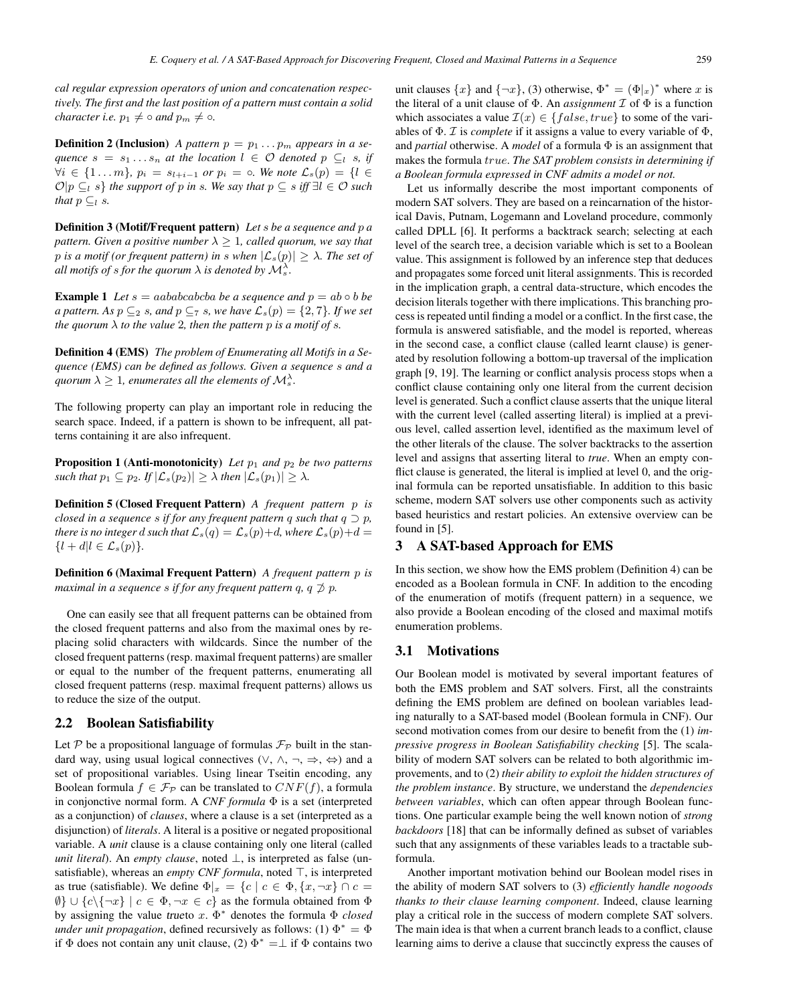*cal regular expression operators of union and concatenation respectively. The first and the last position of a pattern must contain a solid character i.e.*  $p_1 \neq \circ$  *and*  $p_m \neq \circ$ *.* 

**Definition 2 (Inclusion)** *A pattern*  $p = p_1 \ldots p_m$  *appears in a sequence*  $s = s_1 \ldots s_n$  *at the location*  $l \in \mathcal{O}$  *denoted*  $p \subseteq_l s$ *, if*  $\forall i \in \{1 \dots m\}, p_i = s_{l+i-1}$  *or*  $p_i = \circ$ *. We note*  $\mathcal{L}_s(p) = \{l \in \mathcal{L}_s\}$  $\mathcal{O}|p \subseteq_{l} s$  *the support of p in s. We say that*  $p \subseteq s$  *iff*  $\exists l \in \mathcal{O}$  *such that*  $p \subseteq_l s$ *.* 

Definition 3 (Motif/Frequent pattern) *Let* s *be a sequence and* p *a pattern. Given a positive number*  $\lambda \geq 1$ *, called quorum, we say that* p is a motif (or frequent pattern) in s when  $|\mathcal{L}_s(p)| \geq \lambda$ . The set of *all motifs of s for the quorum*  $\lambda$  *is denoted by*  $\mathcal{M}_{s}^{\lambda}$ .

**Example 1** *Let*  $s = aababcabcba$  *be a sequence and*  $p = ab \circ b$  *be a pattern.* As  $p \subseteq 2$  s, and  $p \subseteq 7$  s, we have  $\mathcal{L}_s(p) = \{2, 7\}$ . If we set *the quorum*  $\lambda$  *to the value* 2*, then the pattern*  $p$  *is a motif of s.* 

Definition 4 (EMS) *The problem of Enumerating all Motifs in a Sequence (EMS) can be defined as follows. Given a sequence* s *and a*  $q$ uorum  $\lambda \geq 1$ , enumerates all the elements of  $\mathcal{M}_{s}^{\lambda}$ .

The following property can play an important role in reducing the search space. Indeed, if a pattern is shown to be infrequent, all patterns containing it are also infrequent.

**Proposition 1 (Anti-monotonicity)** Let  $p_1$  and  $p_2$  be two patterns *such that*  $p_1 \subseteq p_2$ *. If*  $|\mathcal{L}_s(p_2)| \geq \lambda$  *then*  $|\mathcal{L}_s(p_1)| \geq \lambda$ *.* 

Definition 5 (Closed Frequent Pattern) *A frequent pattern* p *is closed in a sequence s if for any frequent pattern q such that*  $q \supset p$ , *there is no integer* d *such that*  $\mathcal{L}_s(q) = \mathcal{L}_s(p) + d$ *, where*  $\mathcal{L}_s(p) + d =$  ${l + d|l \in \mathcal{L}_s(p)}$ .

Definition 6 (Maximal Frequent Pattern) *A frequent pattern* p *is maximal in a sequence s if for any frequent pattern q, q*  $\neq$  *p.* 

One can easily see that all frequent patterns can be obtained from the closed frequent patterns and also from the maximal ones by replacing solid characters with wildcards. Since the number of the closed frequent patterns (resp. maximal frequent patterns) are smaller or equal to the number of the frequent patterns, enumerating all closed frequent patterns (resp. maximal frequent patterns) allows us to reduce the size of the output.

## 2.2 Boolean Satisfiability

Let P be a propositional language of formulas  $\mathcal{F}_{\mathcal{P}}$  built in the standard way, using usual logical connectives  $(\vee, \wedge, \neg, \Rightarrow, \Leftrightarrow)$  and a set of propositional variables. Using linear Tseitin encoding, any Boolean formula  $f \in \mathcal{F}_{\mathcal{P}}$  can be translated to  $CNF(f)$ , a formula in conjonctive normal form. A *CNF formula* Φ is a set (interpreted as a conjunction) of *clauses*, where a clause is a set (interpreted as a disjunction) of *literals*. A literal is a positive or negated propositional variable. A *unit* clause is a clause containing only one literal (called *unit literal*). An *empty clause*, noted  $\bot$ , is interpreted as false (unsatisfiable), whereas an *empty CNF formula*, noted  $\top$ , is interpreted as true (satisfiable). We define  $\Phi|x = \{c \mid c \in \Phi, \{x, \neg x\} \cap c =$  $\emptyset$ }  $\cup \{c \setminus \{\neg x\} \mid c \in \Phi, \neg x \in c\}$  as the formula obtained from  $\Phi$ by assigning the value trueto x. Φ<sup>∗</sup> denotes the formula Φ *closed under unit propagation*, defined recursively as follows: (1)  $\Phi^* = \Phi$ if  $\Phi$  does not contain any unit clause, (2)  $\Phi^* = \perp$  if  $\Phi$  contains two

unit clauses  $\{x\}$  and  $\{\neg x\}$ , (3) otherwise,  $\Phi^* = (\Phi|x)^*$  where x is the literal of a unit clause of  $\Phi$ . An *assignment*  $\mathcal I$  of  $\Phi$  is a function which associates a value  $\mathcal{I}(x) \in \{false, true\}$  to some of the variables of  $\Phi$ . *T* is *complete* if it assigns a value to every variable of  $\Phi$ , and *partial* otherwise. A *model* of a formula Φ is an assignment that makes the formula true. *The SAT problem consists in determining if a Boolean formula expressed in CNF admits a model or not.*

Let us informally describe the most important components of modern SAT solvers. They are based on a reincarnation of the historical Davis, Putnam, Logemann and Loveland procedure, commonly called DPLL [6]. It performs a backtrack search; selecting at each level of the search tree, a decision variable which is set to a Boolean value. This assignment is followed by an inference step that deduces and propagates some forced unit literal assignments. This is recorded in the implication graph, a central data-structure, which encodes the decision literals together with there implications. This branching process is repeated until finding a model or a conflict. In the first case, the formula is answered satisfiable, and the model is reported, whereas in the second case, a conflict clause (called learnt clause) is generated by resolution following a bottom-up traversal of the implication graph [9, 19]. The learning or conflict analysis process stops when a conflict clause containing only one literal from the current decision level is generated. Such a conflict clause asserts that the unique literal with the current level (called asserting literal) is implied at a previous level, called assertion level, identified as the maximum level of the other literals of the clause. The solver backtracks to the assertion level and assigns that asserting literal to *true*. When an empty conflict clause is generated, the literal is implied at level 0, and the original formula can be reported unsatisfiable. In addition to this basic scheme, modern SAT solvers use other components such as activity based heuristics and restart policies. An extensive overview can be found in [5].

# 3 A SAT-based Approach for EMS

In this section, we show how the EMS problem (Definition 4) can be encoded as a Boolean formula in CNF. In addition to the encoding of the enumeration of motifs (frequent pattern) in a sequence, we also provide a Boolean encoding of the closed and maximal motifs enumeration problems.

## 3.1 Motivations

Our Boolean model is motivated by several important features of both the EMS problem and SAT solvers. First, all the constraints defining the EMS problem are defined on boolean variables leading naturally to a SAT-based model (Boolean formula in CNF). Our second motivation comes from our desire to benefit from the (1) *impressive progress in Boolean Satisfiability checking* [5]. The scalability of modern SAT solvers can be related to both algorithmic improvements, and to (2) *their ability to exploit the hidden structures of the problem instance*. By structure, we understand the *dependencies between variables*, which can often appear through Boolean functions. One particular example being the well known notion of *strong backdoors* [18] that can be informally defined as subset of variables such that any assignments of these variables leads to a tractable subformula.

Another important motivation behind our Boolean model rises in the ability of modern SAT solvers to (3) *efficiently handle nogoods thanks to their clause learning component*. Indeed, clause learning play a critical role in the success of modern complete SAT solvers. The main idea is that when a current branch leads to a conflict, clause learning aims to derive a clause that succinctly express the causes of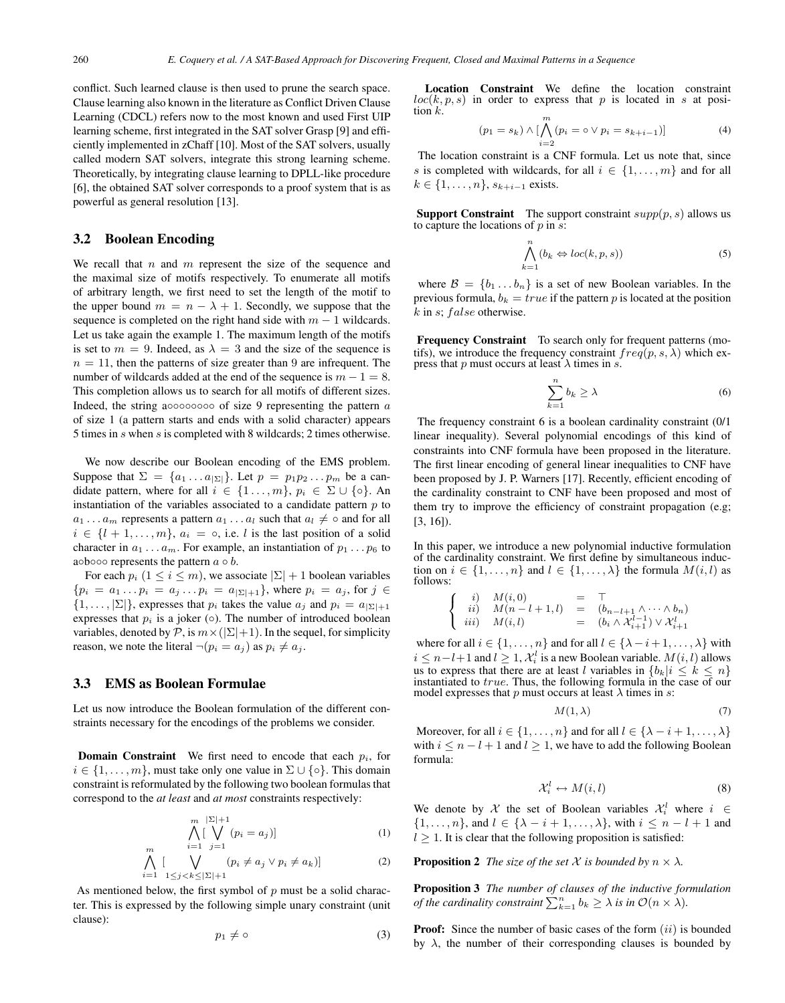conflict. Such learned clause is then used to prune the search space. Clause learning also known in the literature as Conflict Driven Clause Learning (CDCL) refers now to the most known and used First UIP learning scheme, first integrated in the SAT solver Grasp [9] and efficiently implemented in zChaff [10]. Most of the SAT solvers, usually called modern SAT solvers, integrate this strong learning scheme. Theoretically, by integrating clause learning to DPLL-like procedure [6], the obtained SAT solver corresponds to a proof system that is as powerful as general resolution [13].

## 3.2 Boolean Encoding

We recall that  $n$  and  $m$  represent the size of the sequence and the maximal size of motifs respectively. To enumerate all motifs of arbitrary length, we first need to set the length of the motif to the upper bound  $m = n - \lambda + 1$ . Secondly, we suppose that the sequence is completed on the right hand side with  $m - 1$  wildcards. Let us take again the example 1. The maximum length of the motifs is set to  $m = 9$ . Indeed, as  $\lambda = 3$  and the size of the sequence is  $n = 11$ , then the patterns of size greater than 9 are infrequent. The number of wildcards added at the end of the sequence is  $m - 1 = 8$ . This completion allows us to search for all motifs of different sizes. Indeed, the string a  $\circ \circ \circ \circ \circ \circ \circ \circ$  of size 9 representing the pattern  $a$ of size 1 (a pattern starts and ends with a solid character) appears 5 times in s when s is completed with 8 wildcards; 2 times otherwise.

We now describe our Boolean encoding of the EMS problem. Suppose that  $\Sigma = \{a_1 \dots a_{|\Sigma|}\}\.$  Let  $p = p_1 p_2 \dots p_m$  be a candidate pattern, where for all  $i \in \{1 \dots, m\}$ ,  $p_i \in \Sigma \cup \{\circ\}$ . An instantiation of the variables associated to a candidate pattern  $p$  to  $a_1 \ldots a_m$  represents a pattern  $a_1 \ldots a_l$  such that  $a_l \neq \circ$  and for all  $i \in \{l+1,\ldots,m\}, a_i = \circ$ , i.e. l is the last position of a solid character in  $a_1 \ldots a_m$ . For example, an instantiation of  $p_1 \ldots p_6$  to a $\circ$ b $\circ \circ \circ$  represents the pattern  $a \circ b$ .

For each  $p_i$   $(1 \le i \le m)$ , we associate  $|\Sigma| + 1$  boolean variables  ${p_i = a_1 \dots p_i = a_j \dots p_i = a_{\vert \Sigma \vert + 1}}$ , where  $p_i = a_j$ , for  $j \in \mathcal{I}$  $\{1,\ldots,|\Sigma|\}$ , expresses that  $p_i$  takes the value  $a_i$  and  $p_i = a_{|\Sigma|+1}$ expresses that  $p_i$  is a joker ( $\circ$ ). The number of introduced boolean variables, denoted by  $P$ , is  $m \times (|\Sigma|+1)$ . In the sequel, for simplicity reason, we note the literal  $\neg(p_i = a_j)$  as  $p_i \neq a_j$ .

#### 3.3 EMS as Boolean Formulae

Let us now introduce the Boolean formulation of the different constraints necessary for the encodings of the problems we consider.

**Domain Constraint** We first need to encode that each  $p_i$ , for  $i \in \{1, \ldots, m\}$ , must take only one value in  $\Sigma \cup \{ \circ \}$ . This domain constraint is reformulated by the following two boolean formulas that correspond to the *at least* and *at most* constraints respectively:

$$
\bigwedge^{m} \left[ \bigvee^{|\Sigma|+1} (p_i = a_j) \right] \tag{1}
$$

$$
\bigwedge_{i=1}^{m} \left[ \bigvee_{1 \leq j < k \leq |\Sigma|+1} (p_i \neq a_j \vee p_i \neq a_k) \right] \tag{2}
$$

As mentioned below, the first symbol of  $p$  must be a solid character. This is expressed by the following simple unary constraint (unit clause):

$$
p_1 \neq \circ \tag{3}
$$

Location Constraint We define the location constraint  $loc(k, p, s)$  in order to express that p is located in s at position  $k$ .

$$
(p_1 = s_k) \wedge [\bigwedge_{i=2}^{m} (p_i = \circ \vee p_i = s_{k+i-1})] \tag{4}
$$

 $i=2$ <br>The location constraint is a CNF formula. Let us note that, since s is completed with wildcards, for all  $i \in \{1, \ldots, m\}$  and for all  $k \in \{1, \ldots, n\}, s_{k+i-1}$  exists.

**Support Constraint** The support constraint  $supp(p, s)$  allows us to capture the locations of  $p$  in  $\overline{s}$ :

$$
\bigwedge_{k=1}^{n} (b_k \Leftrightarrow loc(k, p, s))
$$
\n(5)

where  $\mathcal{B} = \{b_1 \dots b_n\}$  is a set of new Boolean variables. In the previous formula,  $b_k = true$  if the pattern p is located at the position  $k$  in  $s$ ;  $false$  otherwise.

Frequency Constraint To search only for frequent patterns (motifs), we introduce the frequency constraint  $freq(p, s, \lambda)$  which express that p must occurs at least  $\lambda$  times in s.

$$
\sum_{k=1}^{n} b_k \ge \lambda \tag{6}
$$

The frequency constraint 6 is a boolean cardinality constraint (0/1) linear inequality). Several polynomial encodings of this kind of constraints into CNF formula have been proposed in the literature. The first linear encoding of general linear inequalities to CNF have been proposed by J. P. Warners [17]. Recently, efficient encoding of the cardinality constraint to CNF have been proposed and most of them try to improve the efficiency of constraint propagation (e.g; [3, 16]).

In this paper, we introduce a new polynomial inductive formulation of the cardinality constraint. We first define by simultaneous induction on  $i \in \{1, ..., n\}$  and  $l \in \{1, ..., \lambda\}$  the formula  $M(i, l)$  as follows:

$$
\begin{cases}\ni; & M(i,0) = \top \\
ii; & M(n-l+1,l) = (b_{n-l+1} \wedge \cdots \wedge b_n) \\
iii; & M(i,l) = (b_i \wedge \mathcal{X}_{i+1}^{l-1}) \vee \mathcal{X}_{i+1}^l\n\end{cases}
$$

where for all  $i \in \{1, \ldots, n\}$  and for all  $l \in \{\lambda - i + 1, \ldots, \lambda\}$  with  $i \leq n-l+1$  and  $l \geq 1$ ,  $\mathcal{X}_i^l$  is a new Boolean variable.  $M(i, l)$  allows<br>us to express that there are at least *l* variables in  $J_h$ ,  $|i \leq k \leq n$ us to express that there are at least l variables in  $\{b_k | i \leq k \leq n\}$ instantiated to true. Thus, the following formula in the case of our model expresses that p must occurs at least  $\lambda$  times in s:

$$
M(1,\lambda) \tag{7}
$$

Moreover, for all  $i \in \{1, \ldots, n\}$  and for all  $l \in \{\lambda - i + 1, \ldots, \lambda\}$ with  $i \leq n - l + 1$  and  $l \geq 1$ , we have to add the following Boolean formula:

$$
\mathcal{X}_i^l \leftrightarrow M(i,l) \tag{8}
$$

We denote by X the set of Boolean variables  $\mathcal{X}_i^l$  where  $i \in$  $\{1,\ldots,n\}$ , and  $l \in \{\lambda - i + 1,\ldots,\lambda\}$ , with  $i \leq n - l + 1$  and  $l \geq 1$ . It is clear that the following proposition is satisfied:

**Proposition 2** *The size of the set*  $X$  *is bounded by*  $n \times \lambda$ *.* 

Proposition 3 *The number of clauses of the inductive formulation of the cardinality constraint*  $\sum_{k=1}^{n} b_k \geq \lambda$  *is in*  $\mathcal{O}(n \times \lambda)$ *.* 

**Proof:** Since the number of basic cases of the form  $(ii)$  is bounded by  $\lambda$ , the number of their corresponding clauses is bounded by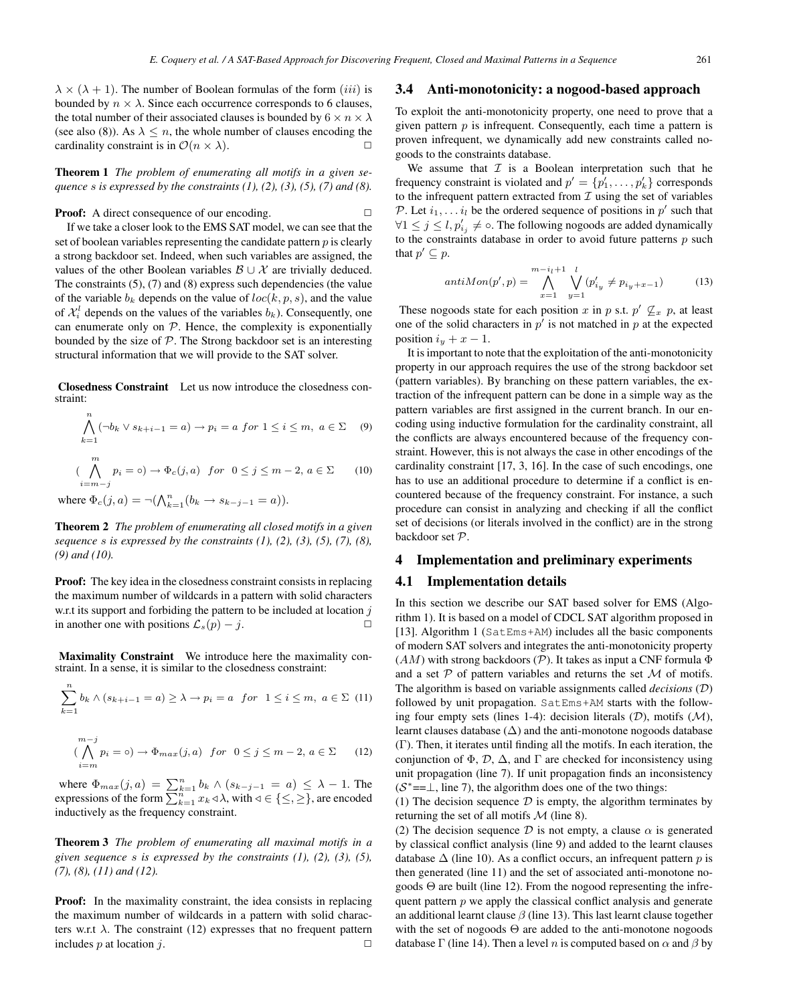$\lambda \times (\lambda + 1)$ . The number of Boolean formulas of the form  $(iii)$  is bounded by  $n \times \lambda$ . Since each occurrence corresponds to 6 clauses, the total number of their associated clauses is bounded by  $6 \times n \times \lambda$ (see also (8)). As  $\lambda \leq n$ , the whole number of clauses encoding the cardinality constraint is in  $\mathcal{O}(n \times \lambda)$ .

Theorem 1 *The problem of enumerating all motifs in a given sequence* s *is expressed by the constraints (1), (2), (3), (5), (7) and (8).*

**Proof:** A direct consequence of our encoding. □

If we take a closer look to the EMS SAT model, we can see that the set of boolean variables representing the candidate pattern  $p$  is clearly a strong backdoor set. Indeed, when such variables are assigned, the values of the other Boolean variables  $\mathcal{B} \cup \mathcal{X}$  are trivially deduced. The constraints (5), (7) and (8) express such dependencies (the value of the variable  $b_k$  depends on the value of  $loc(k, p, s)$ , and the value of  $\mathcal{X}_i^l$  depends on the values of the variables  $b_k$ ). Consequently, one can enumerate only on  $P$ . Hence, the complexity is exponentially bounded by the size of  $P$ . The Strong backdoor set is an interesting structural information that we will provide to the SAT solver.

Closedness Constraint Let us now introduce the closedness constraint:

$$
\bigwedge_{k=1} \left( \neg b_k \lor s_{k+i-1} = a \right) \to p_i = a \text{ for } 1 \le i \le m, \ a \in \Sigma \tag{9}
$$

$$
(\bigwedge_{i=m-j}^{m} p_i = \circ) \to \Phi_c(j, a) \quad \text{for} \quad 0 \le j \le m-2, \ a \in \Sigma \tag{10}
$$

where  $\Phi_c(j, a) = \neg (\bigwedge_{k=1}^n (b_k \to s_{k-j-1} = a)).$ 

Theorem 2 *The problem of enumerating all closed motifs in a given sequence* s *is expressed by the constraints (1), (2), (3), (5), (7), (8), (9) and (10).*

Proof: The key idea in the closedness constraint consists in replacing the maximum number of wildcards in a pattern with solid characters w.r.t its support and forbiding the pattern to be included at location  $j$ in another one with positions  $\mathcal{L}_s(p) - j$ .  $\Box$ 

Maximality Constraint We introduce here the maximality constraint. In a sense, it is similar to the closedness constraint:

$$
\sum_{k=1}^{n} b_k \wedge (s_{k+i-1} = a) \ge \lambda \to p_i = a \quad \text{for} \quad 1 \le i \le m, \ a \in \Sigma \tag{11}
$$

$$
(\bigwedge_{i=m}^{m-j} p_i = \circ) \to \Phi_{max}(j, a) \quad \text{for} \quad 0 \le j \le m-2, a \in \Sigma \qquad (12)
$$

where  $\Phi_{max}(j, a) = \sum_{k=1}^{n} b_k \wedge (s_{k-j-1} = a) \leq \lambda - 1$ . The expressions of the form  $\sum_{k=1}^{n} x_k \triangleleft \lambda$ , with  $\triangleleft \in \{\leq, \geq\}$ , are encoded inductively as the frequency constraint inductively as the frequency constraint.

Theorem 3 *The problem of enumerating all maximal motifs in a given sequence* s *is expressed by the constraints (1), (2), (3), (5), (7), (8), (11) and (12).*

Proof: In the maximality constraint, the idea consists in replacing the maximum number of wildcards in a pattern with solid characters w.r.t  $\lambda$ . The constraint (12) expresses that no frequent pattern includes p at location j.  $\Box$ 

## 3.4 Anti-monotonicity: a nogood-based approach

To exploit the anti-monotonicity property, one need to prove that a given pattern  $p$  is infrequent. Consequently, each time a pattern is proven infrequent, we dynamically add new constraints called nogoods to the constraints database.

We assume that  $I$  is a Boolean interpretation such that he frequency constraint is violated and  $p' = \{p'_1, \ldots, p'_k\}$  corresponds<br>to the infraeuent nattern extracted from  $\mathcal{I}$  using the set of veriables to the infrequent pattern extracted from  $\mathcal I$  using the set of variables P. Let  $i_1, \ldots, i_l$  be the ordered sequence of positions in p' such that  $\bigcup_{i=1}^l i_i \leq i_l$  of  $\bigcup_{i=1}^l i_l$ . The following poses of a such delphasized by  $\forall 1 \leq j \leq l, p'_{ij} \neq \infty$ . The following nogoods are added dynamically to the constraints determined in order to evold future netterns a such to the constraints database in order to avoid future patterns  $p$  such that  $p' \subseteq p$ .

$$
antiMon(p', p) = \bigwedge_{x=1}^{m-i_1+1} \bigvee_{y=1}^{l} (p'_{i_y} \neq p_{i_y+x-1})
$$
(13)

These nogoods state for each position x in p s.t.  $p' \nsubseteq x$  p, at least one of the solid characters in  $p'$  is not matched in p at the expected position  $i_y + x - 1$ .

It is important to note that the exploitation of the anti-monotonicity property in our approach requires the use of the strong backdoor set (pattern variables). By branching on these pattern variables, the extraction of the infrequent pattern can be done in a simple way as the pattern variables are first assigned in the current branch. In our encoding using inductive formulation for the cardinality constraint, all the conflicts are always encountered because of the frequency constraint. However, this is not always the case in other encodings of the cardinality constraint [17, 3, 16]. In the case of such encodings, one has to use an additional procedure to determine if a conflict is encountered because of the frequency constraint. For instance, a such procedure can consist in analyzing and checking if all the conflict set of decisions (or literals involved in the conflict) are in the strong backdoor set P.

## 4 Implementation and preliminary experiments

## 4.1 Implementation details

In this section we describe our SAT based solver for EMS (Algorithm 1). It is based on a model of CDCL SAT algorithm proposed in [13]. Algorithm 1 (SatEms+AM) includes all the basic components of modern SAT solvers and integrates the anti-monotonicity property  $(AM)$  with strong backdoors (P). It takes as input a CNF formula  $\Phi$ and a set  $P$  of pattern variables and returns the set  $M$  of motifs. The algorithm is based on variable assignments called *decisions* (D) followed by unit propagation. SatEms+AM starts with the following four empty sets (lines 1-4): decision literals  $(D)$ , motifs  $(M)$ , learnt clauses database  $(\Delta)$  and the anti-monotone nogoods database (Γ). Then, it iterates until finding all the motifs. In each iteration, the conjunction of  $\Phi$ ,  $\mathcal{D}$ ,  $\Delta$ , and  $\Gamma$  are checked for inconsistency using unit propagation (line 7). If unit propagation finds an inconsistency  $(S^*=\perp, \text{ line 7})$ , the algorithm does one of the two things:

(1) The decision sequence  $D$  is empty, the algorithm terminates by returning the set of all motifs  $M$  (line 8).

(2) The decision sequence  $\mathcal D$  is not empty, a clause  $\alpha$  is generated by classical conflict analysis (line 9) and added to the learnt clauses database  $\Delta$  (line 10). As a conflict occurs, an infrequent pattern p is then generated (line 11) and the set of associated anti-monotone nogoods  $\Theta$  are built (line 12). From the nogood representing the infrequent pattern  $p$  we apply the classical conflict analysis and generate an additional learnt clause  $\beta$  (line 13). This last learnt clause together with the set of nogoods  $\Theta$  are added to the anti-monotone nogoods database Γ (line 14). Then a level n is computed based on  $\alpha$  and  $\beta$  by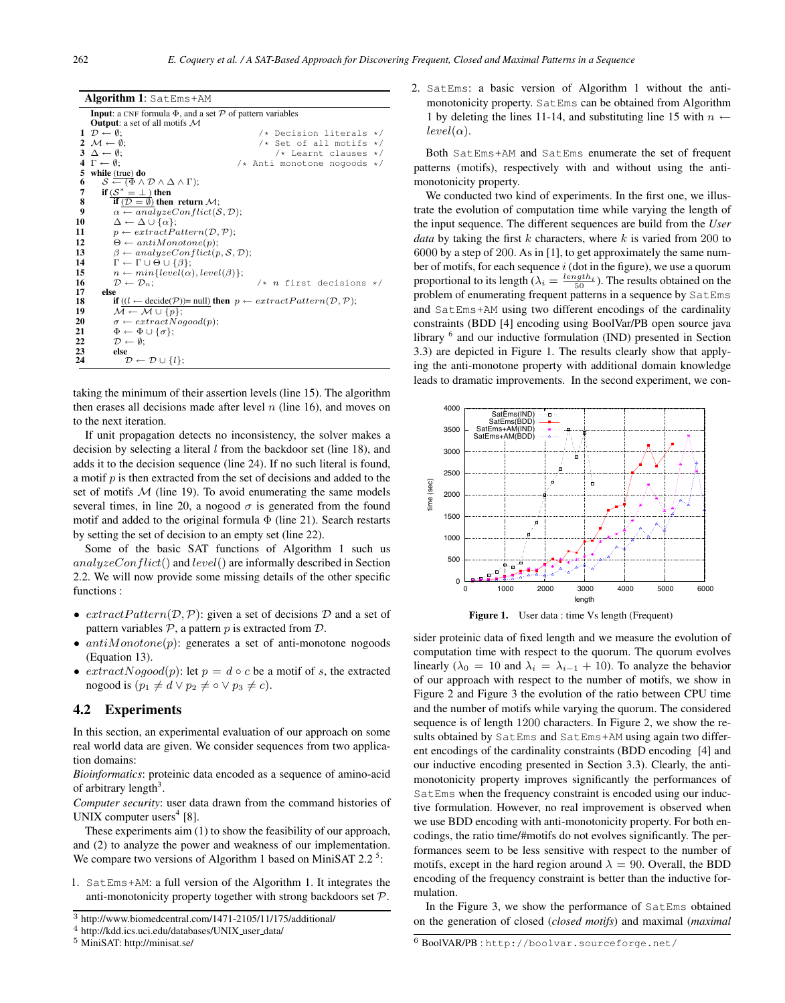| <b>Algorithm 1:</b> SatEms+AM |                                                                                                                                      |  |
|-------------------------------|--------------------------------------------------------------------------------------------------------------------------------------|--|
|                               | <b>Input</b> : a CNF formula $\Phi$ , and a set $\mathcal P$ of pattern variables                                                    |  |
|                               | <b>Output:</b> a set of all motifs $M$                                                                                               |  |
|                               | $1 \mathcal{D} \leftarrow \emptyset$<br>/* Decision literals */                                                                      |  |
|                               | $2 \mathcal{M} \leftarrow \emptyset$<br>$/*$ Set of all motifs $*/$                                                                  |  |
|                               | $3 \Delta \leftarrow \emptyset$ ;<br>$/*$ Learnt clauses $*/$                                                                        |  |
|                               | $4 \Gamma \leftarrow \emptyset$ ;<br>/* Anti monotone nogoods */                                                                     |  |
|                               | 5 while (true) do                                                                                                                    |  |
| 6                             | $\mathcal{S} \leftarrow (\Phi \wedge \mathcal{D} \wedge \Delta \wedge \Gamma);$                                                      |  |
| 7                             | if $(S^* = \perp)$ then                                                                                                              |  |
| 8                             | if $(D = \emptyset)$ then return $\mathcal{M}$ ;                                                                                     |  |
| 9                             | $\alpha \leftarrow analyzeConflict(\mathcal{S}, \mathcal{D});$                                                                       |  |
| 10                            | $\Delta \leftarrow \Delta \cup \{\alpha\};$                                                                                          |  |
| 11                            | $p \leftarrow extractPattern(\mathcal{D}, \mathcal{P});$                                                                             |  |
| 12                            | $\Theta \leftarrow antiMonotone(p);$                                                                                                 |  |
| 13                            | $\beta \leftarrow analyzeConflict(p, S, D);$                                                                                         |  |
| 14                            | $\Gamma \leftarrow \Gamma \cup \Theta \cup \{\beta\};$                                                                               |  |
| 15                            | $n \leftarrow min\{level(\alpha), level(\beta)\};$                                                                                   |  |
| 16                            | $/* n$ first decisions */<br>$\mathcal{D} \leftarrow \mathcal{D}_n$                                                                  |  |
| 17                            | else                                                                                                                                 |  |
| 18                            | <b>if</b> $((l \leftarrow \text{decide}(\mathcal{P}))$ = null) <b>then</b> $p \leftarrow extractPattern(\mathcal{D}, \mathcal{P})$ ; |  |
| 19                            | $\mathcal{M} \leftarrow \mathcal{M} \cup \{p\};$                                                                                     |  |
| 20                            | $\sigma \leftarrow extractNogood(p);$                                                                                                |  |
| 21                            | $\Phi \leftarrow \Phi \cup \{\sigma\};$                                                                                              |  |
| 22                            | $\mathcal{D} \leftarrow \emptyset$ ;                                                                                                 |  |
| 23                            | else                                                                                                                                 |  |
| 24                            | $\mathcal{D} \leftarrow \mathcal{D} \cup \{l\};$                                                                                     |  |

taking the minimum of their assertion levels (line 15). The algorithm then erases all decisions made after level  $n$  (line 16), and moves on to the next iteration.

If unit propagation detects no inconsistency, the solver makes a decision by selecting a literal  $l$  from the backdoor set (line 18), and adds it to the decision sequence (line 24). If no such literal is found, a motif  $p$  is then extracted from the set of decisions and added to the set of motifs  $M$  (line 19). To avoid enumerating the same models several times, in line 20, a nogood  $\sigma$  is generated from the found motif and added to the original formula  $\Phi$  (line 21). Search restarts by setting the set of decision to an empty set (line 22).

Some of the basic SAT functions of Algorithm 1 such us  $analyzeConflict()$  and  $level()$  are informally described in Section 2.2. We will now provide some missing details of the other specific functions :

- $extractPattern(\mathcal{D}, \mathcal{P})$ : given a set of decisions  $\mathcal D$  and a set of pattern variables  $P$ , a pattern p is extracted from  $D$ .
- $antiMonotone(p)$ : generates a set of anti-monotone nogoods (Equation 13).
- $extractNogood(p)$ : let  $p = d \circ c$  be a motif of s, the extracted nogood is  $(p_1 \neq d \lor p_2 \neq \circ \lor p_3 \neq c)$ .

# 4.2 Experiments

In this section, an experimental evaluation of our approach on some real world data are given. We consider sequences from two application domains:

*Bioinformatics*: proteinic data encoded as a sequence of amino-acid of arbitrary length<sup>3</sup>.

*Computer security*: user data drawn from the command histories of UNIX computer users<sup>4</sup> [8].

These experiments aim (1) to show the feasibility of our approach, and (2) to analyze the power and weakness of our implementation. We compare two versions of Algorithm 1 based on MiniSAT 2.2<sup>5</sup>:

1. SatEms+AM: a full version of the Algorithm 1. It integrates the anti-monotonicity property together with strong backdoors set  $P$ . 2. SatEms: a basic version of Algorithm 1 without the antimonotonicity property. SatEms can be obtained from Algorithm 1 by deleting the lines 11-14, and substituting line 15 with  $n \leftarrow$  $level(\alpha).$ 

Both SatEms+AM and SatEms enumerate the set of frequent patterns (motifs), respectively with and without using the antimonotonicity property.

We conducted two kind of experiments. In the first one, we illustrate the evolution of computation time while varying the length of the input sequence. The different sequences are build from the *User data* by taking the first  $k$  characters, where  $k$  is varied from 200 to 6000 by a step of 200. As in [1], to get approximately the same number of motifs, for each sequence  $i$  (dot in the figure), we use a quorum proportional to its length  $(\lambda_i = \frac{length_i}{50})$ . The results obtained on the problem of enumerating frequent patterns in a sequence by SatEms and SatEms+AM using two different encodings of the cardinality constraints (BDD [4] encoding using BoolVar/PB open source java library <sup>6</sup> and our inductive formulation (IND) presented in Section 3.3) are depicted in Figure 1. The results clearly show that applying the anti-monotone property with additional domain knowledge leads to dramatic improvements. In the second experiment, we con-





sider proteinic data of fixed length and we measure the evolution of computation time with respect to the quorum. The quorum evolves linearly ( $\lambda_0 = 10$  and  $\lambda_i = \lambda_{i-1} + 10$ ). To analyze the behavior of our approach with respect to the number of motifs, we show in Figure 2 and Figure 3 the evolution of the ratio between CPU time and the number of motifs while varying the quorum. The considered sequence is of length 1200 characters. In Figure 2, we show the results obtained by SatEms and SatEms+AM using again two different encodings of the cardinality constraints (BDD encoding [4] and our inductive encoding presented in Section 3.3). Clearly, the antimonotonicity property improves significantly the performances of SatEms when the frequency constraint is encoded using our inductive formulation. However, no real improvement is observed when we use BDD encoding with anti-monotonicity property. For both encodings, the ratio time/#motifs do not evolves significantly. The performances seem to be less sensitive with respect to the number of motifs, except in the hard region around  $\lambda = 90$ . Overall, the BDD encoding of the frequency constraint is better than the inductive formulation.

In the Figure 3, we show the performance of SatEms obtained on the generation of closed (*closed motifs*) and maximal (*maximal*

<sup>3</sup> http://www.biomedcentral.com/1471-2105/11/175/additional/

<sup>4</sup> http://kdd.ics.uci.edu/databases/UNIX user data/

<sup>5</sup> MiniSAT: http://minisat.se/

<sup>6</sup> BoolVAR/PB : http://boolvar.sourceforge.net/